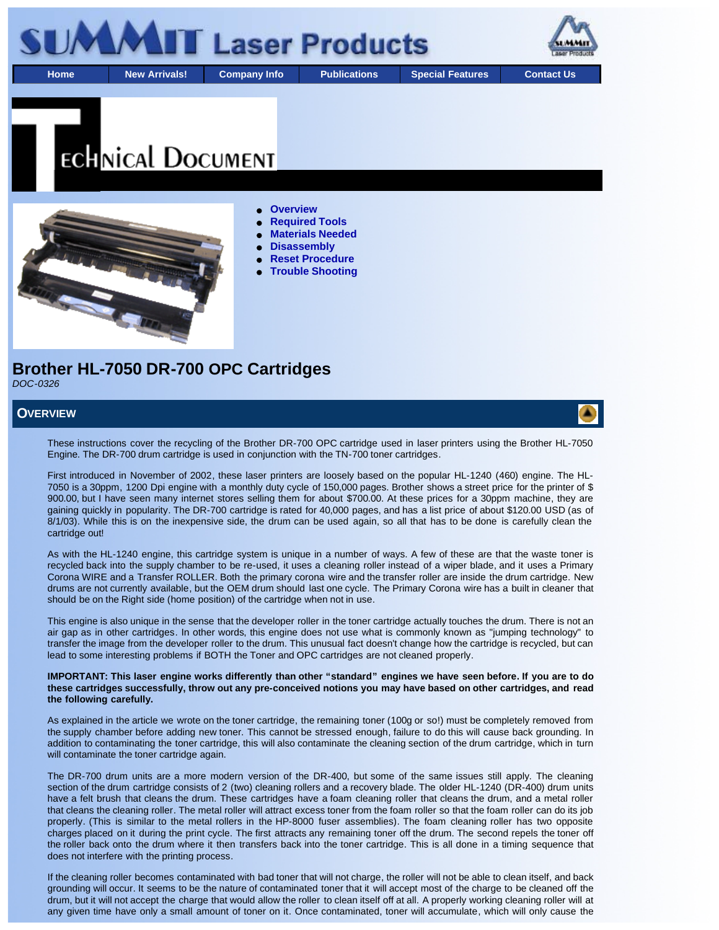

# **ECHNICAL DOCUMENT**



#### **Overview**

- **Required Tools**
- **Materials Needed**
- **Disassembly**
- **Reset Procedure**
- **Trouble Shooting**

**Brother HL-7050 DR-700 OPC Cartridges** *DOC-0326*

#### **OVERVIEW**

These instructions cover the recycling of the Brother DR-700 OPC cartridge used in laser printers using the Brother HL-7050 Engine. The DR-700 drum cartridge is used in conjunction with the TN-700 toner cartridges.

First introduced in November of 2002, these laser printers are loosely based on the popular HL-1240 (460) engine. The HL-7050 is a 30ppm, 1200 Dpi engine with a monthly duty cycle of 150,000 pages. Brother shows a street price for the printer of \$ 900.00, but I have seen many internet stores selling them for about \$700.00. At these prices for a 30ppm machine, they are gaining quickly in popularity. The DR-700 cartridge is rated for 40,000 pages, and has a list price of about \$120.00 USD (as of 8/1/03). While this is on the inexpensive side, the drum can be used again, so all that has to be done is carefully clean the cartridge out!

As with the HL-1240 engine, this cartridge system is unique in a number of ways. A few of these are that the waste toner is recycled back into the supply chamber to be re-used, it uses a cleaning roller instead of a wiper blade, and it uses a Primary Corona WIRE and a Transfer ROLLER. Both the primary corona wire and the transfer roller are inside the drum cartridge. New drums are not currently available, but the OEM drum should last one cycle. The Primary Corona wire has a built in cleaner that should be on the Right side (home position) of the cartridge when not in use.

This engine is also unique in the sense that the developer roller in the toner cartridge actually touches the drum. There is not an air gap as in other cartridges. In other words, this engine does not use what is commonly known as "jumping technology" to transfer the image from the developer roller to the drum. This unusual fact doesn't change how the cartridge is recycled, but can lead to some interesting problems if BOTH the Toner and OPC cartridges are not cleaned properly.

#### **IMPORTANT: This laser engine works differently than other "standard" engines we have seen before. If you are to do these cartridges successfully, throw out any pre-conceived notions you may have based on other cartridges, and read the following carefully.**

As explained in the article we wrote on the toner cartridge, the remaining toner (100g or so!) must be completely removed from the supply chamber before adding new toner. This cannot be stressed enough, failure to do this will cause back grounding. In addition to contaminating the toner cartridge, this will also contaminate the cleaning section of the drum cartridge, which in turn will contaminate the toner cartridge again.

The DR-700 drum units are a more modern version of the DR-400, but some of the same issues still apply. The cleaning section of the drum cartridge consists of 2 (two) cleaning rollers and a recovery blade. The older HL-1240 (DR-400) drum units have a felt brush that cleans the drum. These cartridges have a foam cleaning roller that cleans the drum, and a metal roller that cleans the cleaning roller. The metal roller will attract excess toner from the foam roller so that the foam roller can do its job properly. (This is similar to the metal rollers in the HP-8000 fuser assemblies). The foam cleaning roller has two opposite charges placed on it during the print cycle. The first attracts any remaining toner off the drum. The second repels the toner off the roller back onto the drum where it then transfers back into the toner cartridge. This is all done in a timing sequence that does not interfere with the printing process.

If the cleaning roller becomes contaminated with bad toner that will not charge, the roller will not be able to clean itself, and back grounding will occur. It seems to be the nature of contaminated toner that it will accept most of the charge to be cleaned off the drum, but it will not accept the charge that would allow the roller to clean itself off at all. A properly working cleaning roller will at any given time have only a small amount of toner on it. Once contaminated, toner will accumulate, which will only cause the

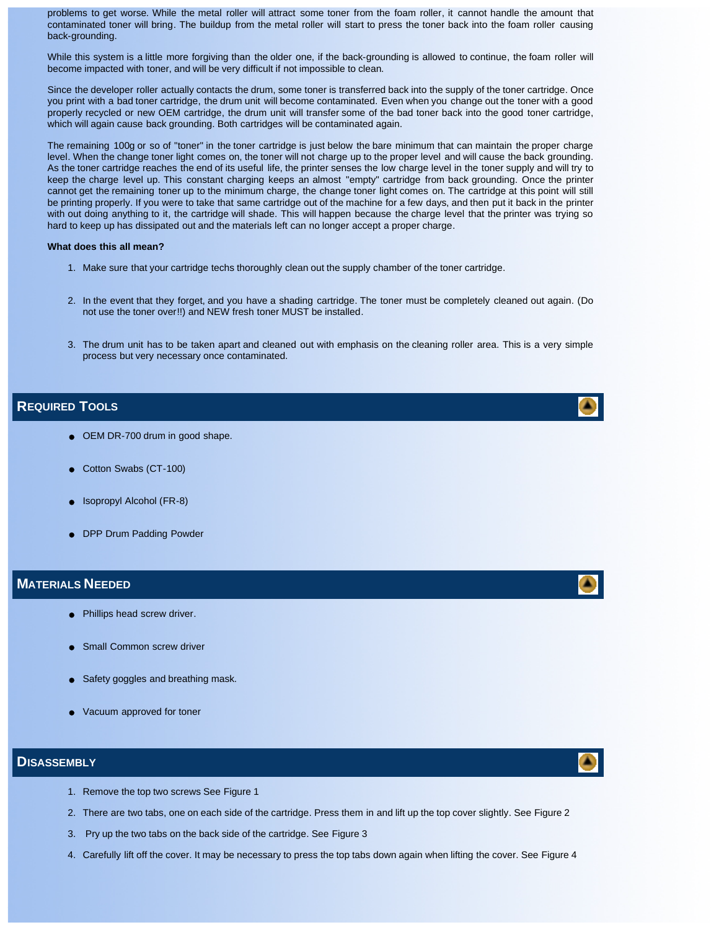problems to get worse. While the metal roller will attract some toner from the foam roller, it cannot handle the amount that contaminated toner will bring. The buildup from the metal roller will start to press the toner back into the foam roller causing back-grounding.

While this system is a little more forgiving than the older one, if the back-grounding is allowed to continue, the foam roller will become impacted with toner, and will be very difficult if not impossible to clean.

Since the developer roller actually contacts the drum, some toner is transferred back into the supply of the toner cartridge. Once you print with a bad toner cartridge, the drum unit will become contaminated. Even when you change out the toner with a good properly recycled or new OEM cartridge, the drum unit will transfer some of the bad toner back into the good toner cartridge, which will again cause back grounding. Both cartridges will be contaminated again.

The remaining 100g or so of "toner" in the toner cartridge is just below the bare minimum that can maintain the proper charge level. When the change toner light comes on, the toner will not charge up to the proper level and will cause the back grounding. As the toner cartridge reaches the end of its useful life, the printer senses the low charge level in the toner supply and will try to keep the charge level up. This constant charging keeps an almost "empty" cartridge from back grounding. Once the printer cannot get the remaining toner up to the minimum charge, the change toner light comes on. The cartridge at this point will still be printing properly. If you were to take that same cartridge out of the machine for a few days, and then put it back in the printer with out doing anything to it, the cartridge will shade. This will happen because the charge level that the printer was trying so hard to keep up has dissipated out and the materials left can no longer accept a proper charge.

#### **What does this all mean?**

- 1. Make sure that your cartridge techs thoroughly clean out the supply chamber of the toner cartridge.
- 2. In the event that they forget, and you have a shading cartridge. The toner must be completely cleaned out again. (Do not use the toner over!!) and NEW fresh toner MUST be installed.
- 3. The drum unit has to be taken apart and cleaned out with emphasis on the cleaning roller area. This is a very simple process but very necessary once contaminated.

### **REQUIRED TOOLS**

- OEM DR-700 drum in good shape.
- Cotton Swabs (CT-100)
- Isopropyl Alcohol (FR-8)
- DPP Drum Padding Powder

#### **MATERIALS NEEDED**

- Phillips head screw driver.
- Small Common screw driver
- Safety goggles and breathing mask.
- Vacuum approved for toner

#### **DISASSEMBLY**

- 1. Remove the top two screws See Figure 1
- 2. There are two tabs, one on each side of the cartridge. Press them in and lift up the top cover slightly. See Figure 2
- 3. Pry up the two tabs on the back side of the cartridge. See Figure 3
- 4. Carefully lift off the cover. It may be necessary to press the top tabs down again when lifting the cover. See Figure 4







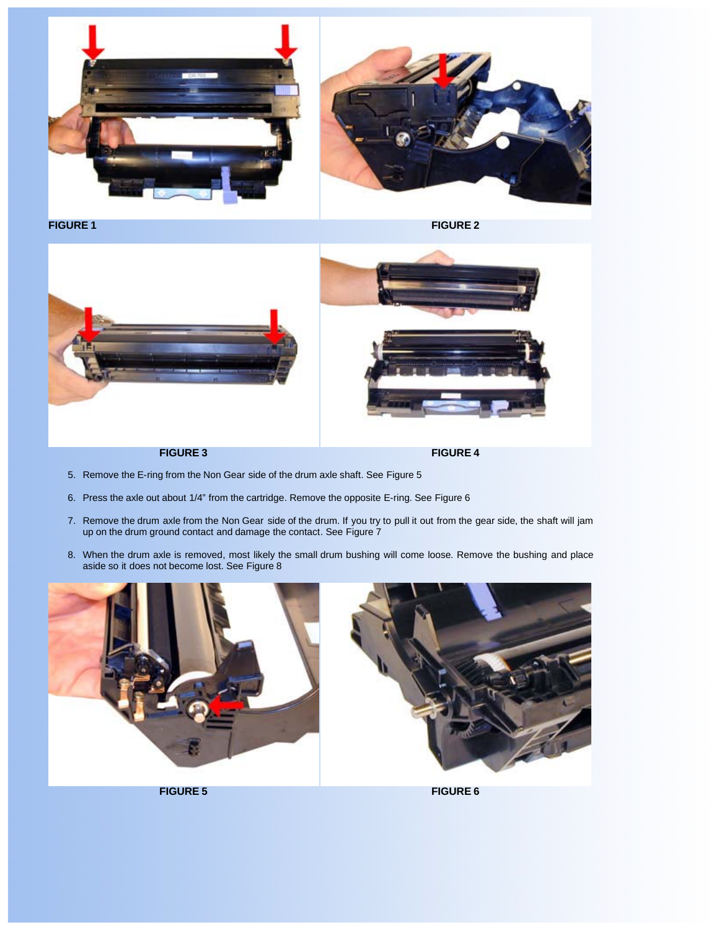



- 5. Remove the E-ring from the Non Gear side of the drum axle shaft. See Figure 5
- 6. Press the axle out about 1/4" from the cartridge. Remove the opposite E-ring. See Figure 6
- 7. Remove the drum axle from the Non Gear side of the drum. If you try to pull it out from the gear side, the shaft will jam up on the drum ground contact and damage the contact. See Figure 7
- 8. When the drum axle is removed, most likely the small drum bushing will come loose. Remove the bushing and place aside so it does not become lost. See Figure 8





**FIGURE 5 FIGURE 6**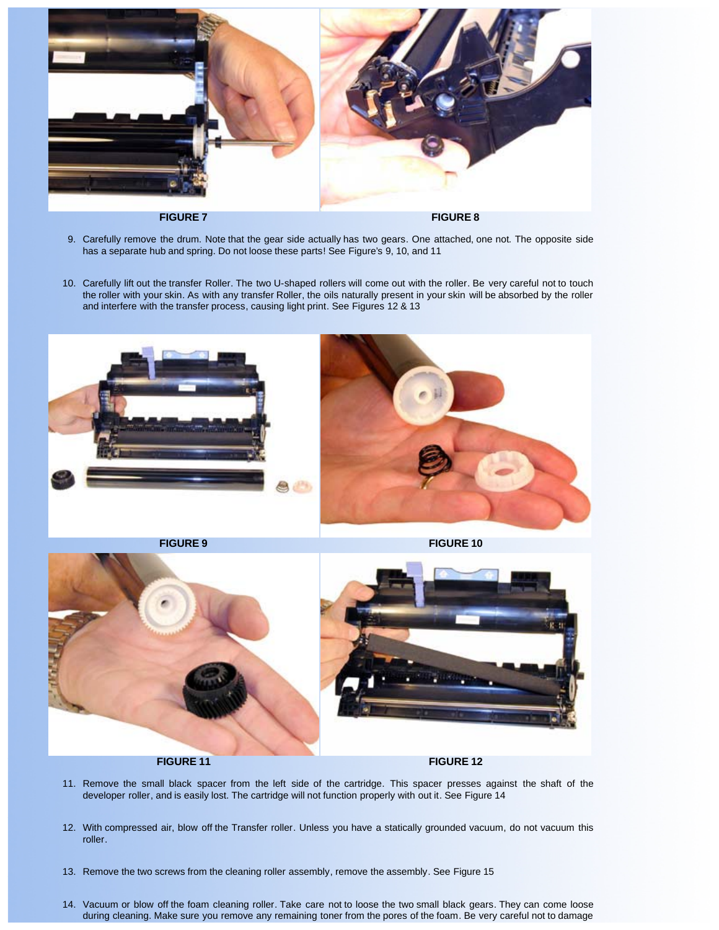

- 9. Carefully remove the drum. Note that the gear side actually has two gears. One attached, one not. The opposite side has a separate hub and spring. Do not loose these parts! See Figure's 9, 10, and 11
- 10. Carefully lift out the transfer Roller. The two U-shaped rollers will come out with the roller. Be very careful not to touch the roller with your skin. As with any transfer Roller, the oils naturally present in your skin will be absorbed by the roller and interfere with the transfer process, causing light print. See Figures 12 & 13





**FIGURE 11 FIGURE 12** 

- 11. Remove the small black spacer from the left side of the cartridge. This spacer presses against the shaft of the developer roller, and is easily lost. The cartridge will not function properly with out it. See Figure 14
- 12. With compressed air, blow off the Transfer roller. Unless you have a statically grounded vacuum, do not vacuum this roller.
- 13. Remove the two screws from the cleaning roller assembly, remove the assembly. See Figure 15
- 14. Vacuum or blow off the foam cleaning roller. Take care not to loose the two small black gears. They can come loose during cleaning. Make sure you remove any remaining toner from the pores of the foam. Be very careful not to damage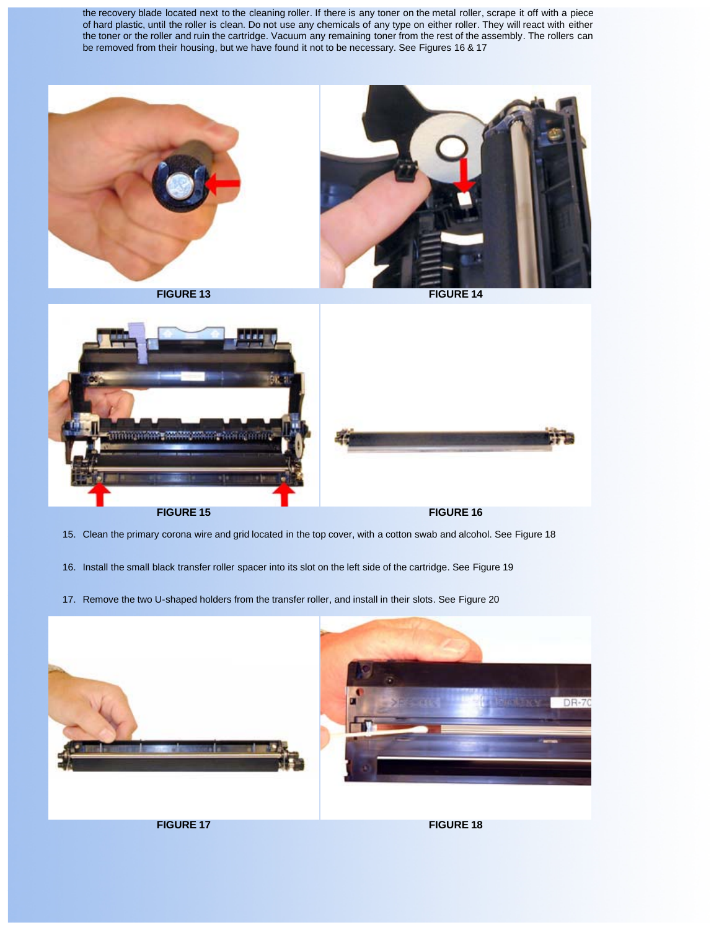the recovery blade located next to the cleaning roller. If there is any toner on the metal roller, scrape it off with a piece of hard plastic, until the roller is clean. Do not use any chemicals of any type on either roller. They will react with either the toner or the roller and ruin the cartridge. Vacuum any remaining toner from the rest of the assembly. The rollers can be removed from their housing, but we have found it not to be necessary. See Figures 16 & 17





- 15. Clean the primary corona wire and grid located in the top cover, with a cotton swab and alcohol. See Figure 18
- 16. Install the small black transfer roller spacer into its slot on the left side of the cartridge. See Figure 19
- 17. Remove the two U-shaped holders from the transfer roller, and install in their slots. See Figure 20

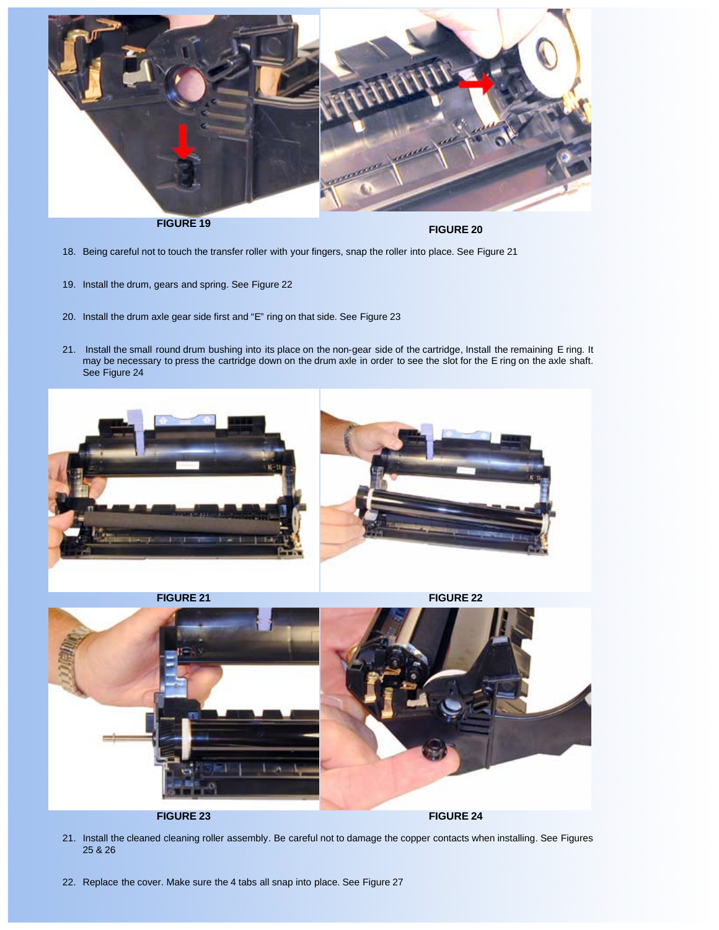

**FIGURE 19 FIGURE 20**

- 18. Being careful not to touch the transfer roller with your fingers, snap the roller into place. See Figure 21
- 19. Install the drum, gears and spring. See Figure 22
- 20. Install the drum axle gear side first and "E" ring on that side. See Figure 23
- 21. Install the small round drum bushing into its place on the non-gear side of the cartridge, Install the remaining E ring. It may be necessary to press the cartridge down on the drum axle in order to see the slot for the E ring on the axle shaft. See Figure 24



- 21. Install the cleaned cleaning roller assembly. Be careful not to damage the copper contacts when installing. See Figures 25 & 26
- 22. Replace the cover. Make sure the 4 tabs all snap into place. See Figure 27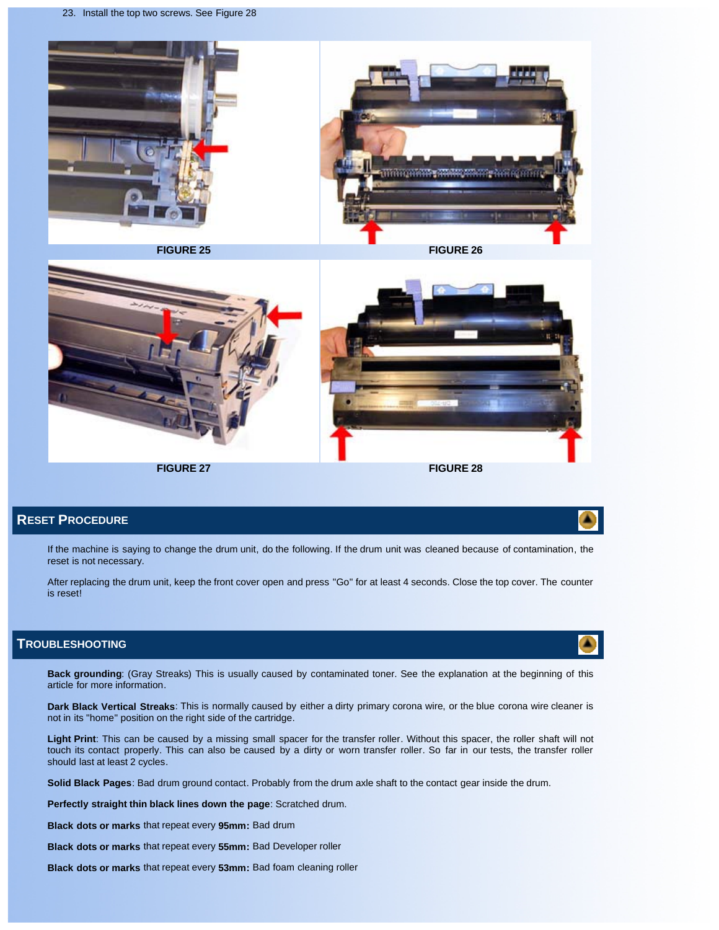



# **RESET PROCEDURE**

If the machine is saying to change the drum unit, do the following. If the drum unit was cleaned because of contamination, the reset is not necessary.

After replacing the drum unit, keep the front cover open and press "Go" for at least 4 seconds. Close the top cover. The counter is reset!

### **TROUBLESHOOTING**

**Back grounding**: (Gray Streaks) This is usually caused by contaminated toner. See the explanation at the beginning of this article for more information.

**Dark Black Vertical Streaks**: This is normally caused by either a dirty primary corona wire, or the blue corona wire cleaner is not in its "home" position on the right side of the cartridge.

**Light Print**: This can be caused by a missing small spacer for the transfer roller. Without this spacer, the roller shaft will not touch its contact properly. This can also be caused by a dirty or worn transfer roller. So far in our tests, the transfer roller should last at least 2 cycles.

**Solid Black Pages**: Bad drum ground contact. Probably from the drum axle shaft to the contact gear inside the drum.

**Perfectly straight thin black lines down the page**: Scratched drum.

**Black dots or marks** that repeat every **95mm:** Bad drum

**Black dots or marks** that repeat every **55mm:** Bad Developer roller

**Black dots or marks** that repeat every **53mm:** Bad foam cleaning roller